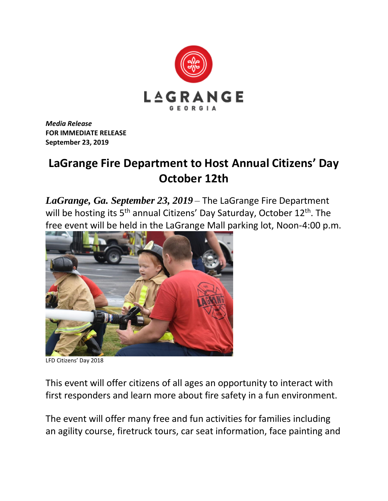

*Media Release* **FOR IMMEDIATE RELEASE September 23, 2019**

## **LaGrange Fire Department to Host Annual Citizens' Day October 12th**

*LaGrange, Ga. September 23, 2019* – The LaGrange Fire Department will be hosting its  $5<sup>th</sup>$  annual Citizens' Day Saturday, October  $12<sup>th</sup>$ . The free event will be held in the LaGrange Mall parking lot, Noon-4:00 p.m.



LFD Citizens' Day 2018

This event will offer citizens of all ages an opportunity to interact with first responders and learn more about fire safety in a fun environment.

The event will offer many free and fun activities for families including an agility course, firetruck tours, car seat information, face painting and